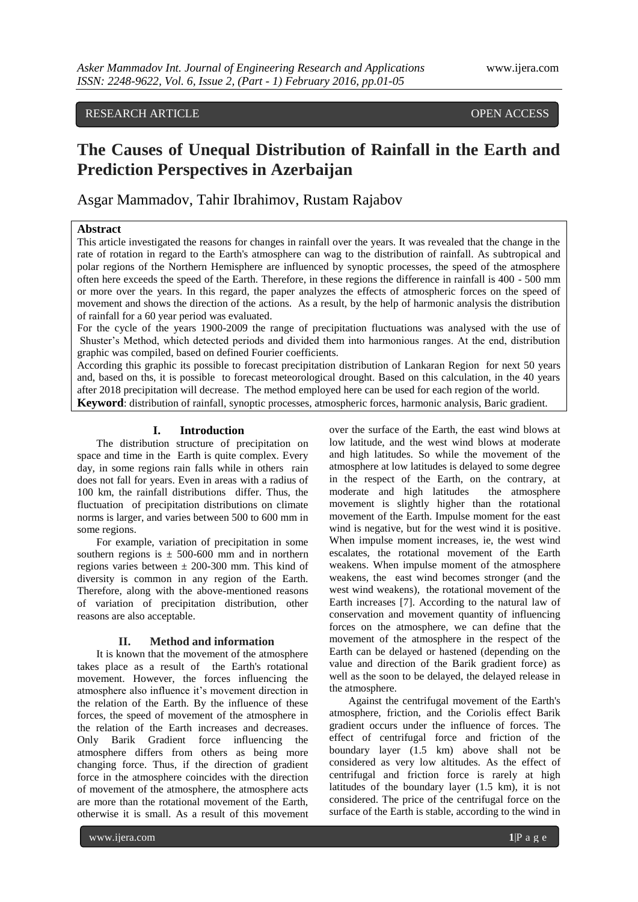## **RESEARCH ARTICLE** *RESEARCH ARTICLE*

# **The Causes of Unequal Distribution of Rainfall in the Earth and Prediction Perspectives in Azerbaijan**

Asgar Mammadov, Tahir Ibrahimov, Rustam Rajabov

### **Abstract**

This article investigated the reasons for changes in rainfall over the years. It was revealed that the change in the rate of rotation in regard to the Earth's atmosphere can wag to the distribution of rainfall. As subtropical and polar regions of the Northern Hemisphere are influenced by synoptic processes, the speed of the atmosphere often here exceeds the speed of the Earth. Therefore, in these regions the difference in rainfall is 400 - 500 mm or more over the years. In this regard, the paper analyzes the effects of atmospheric forces on the speed of movement and shows the direction of the actions. As a result, by the help of harmonic analysis the distribution of rainfall for a 60 year period was evaluated.

For the cycle of the years 1900-2009 the range of precipitation fluctuations was analysed with the use of Shuster's Method, which detected periods and divided them into harmonious ranges. At the end, distribution graphic was compiled, based on defined Fourier coefficients.

According this graphic its possible to forecast precipitation distribution of Lankaran Region for next 50 years and, based on ths, it is possible to forecast meteorological drought. Based on this calculation, in the 40 years after 2018 precipitation will decrease. The method employed here can be used for each region of the world.

**Keyword**: distribution of rainfall, synoptic processes, atmospheric forces, harmonic analysis, Baric gradient.

#### **I. Introduction**

The distribution structure of precipitation on space and time in the Earth is quite complex. Every day, in some regions rain falls while in others rain does not fall for years. Even in areas with a radius of 100 km, the rainfall distributions differ. Thus, the fluctuation of precipitation distributions on climate norms is larger, and varies between 500 to 600 mm in some regions.

For example, variation of precipitation in some southern regions is  $\pm$  500-600 mm and in northern regions varies between  $\pm$  200-300 mm. This kind of diversity is common in any region of the Earth. Therefore, along with the above-mentioned reasons of variation of precipitation distribution, other reasons are also acceptable.

#### **II. Method and information**

It is known that the movement of the atmosphere takes place as a result of the Earth's rotational movement. However, the forces influencing the atmosphere also influence it's movement direction in the relation of the Earth. By the influence of these forces, the speed of movement of the atmosphere in the relation of the Earth increases and decreases. Only Barik Gradient force influencing the atmosphere differs from others as being more changing force. Thus, if the direction of gradient force in the atmosphere coincides with the direction of movement of the atmosphere, the atmosphere acts are more than the rotational movement of the Earth, otherwise it is small. As a result of this movement

over the surface of the Earth, the east wind blows at low latitude, and the west wind blows at moderate and high latitudes. So while the movement of the atmosphere at low latitudes is delayed to some degree in the respect of the Earth, on the contrary, at moderate and high latitudes the atmosphere movement is slightly higher than the rotational movement of the Earth. Impulse moment for the east wind is negative, but for the west wind it is positive. When impulse moment increases, ie, the west wind escalates, the rotational movement of the Earth weakens. When impulse moment of the atmosphere weakens, the east wind becomes stronger (and the west wind weakens), the rotational movement of the Earth increases [7]. According to the natural law of conservation and movement quantity of influencing forces on the atmosphere, we can define that the movement of the atmosphere in the respect of the Earth can be delayed or hastened (depending on the value and direction of the Barik gradient force) as well as the soon to be delayed, the delayed release in the atmosphere.

Against the centrifugal movement of the Earth's atmosphere, friction, and the Coriolis effect Barik gradient occurs under the influence of forces. The effect of centrifugal force and friction of the boundary layer (1.5 km) above shall not be considered as very low altitudes. As the effect of centrifugal and friction force is rarely at high latitudes of the boundary layer (1.5 km), it is not considered. The price of the centrifugal force on the surface of the Earth is stable, according to the wind in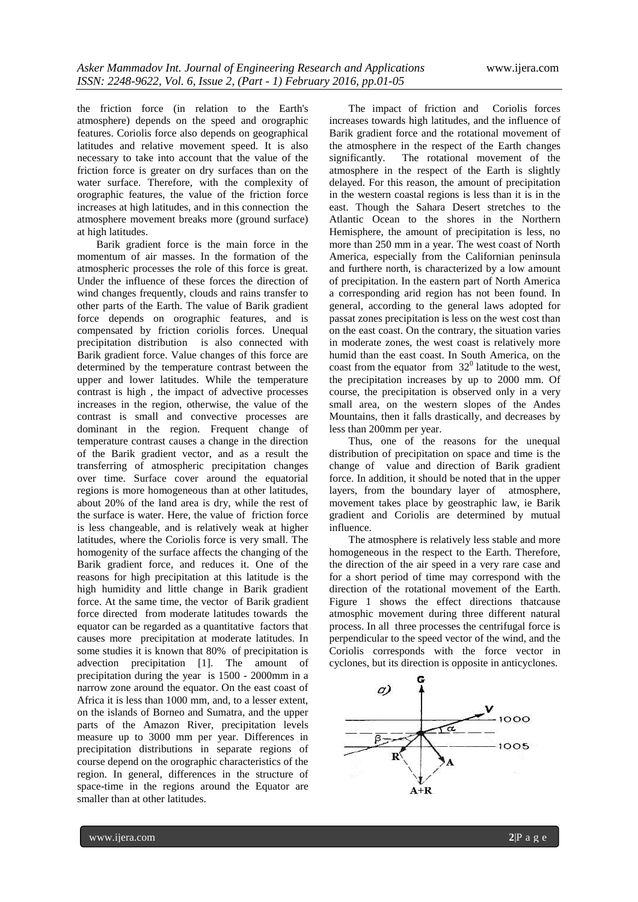the friction force (in relation to the Earth's atmosphere) depends on the speed and orographic features. Coriolis force also depends on geographical latitudes and relative movement speed. It is also necessary to take into account that the value of the friction force is greater on dry surfaces than on the water surface. Therefore, with the complexity of orographic features, the value of the friction force increases at high latitudes, and in this connection the atmosphere movement breaks more (ground surface) at high latitudes.

Barik gradient force is the main force in the momentum of air masses. In the formation of the atmospheric processes the role of this force is great. Under the influence of these forces the direction of wind changes frequently, clouds and rains transfer to other parts of the Earth. The value of Barik gradient force depends on orographic features, and is compensated by friction coriolis forces. Unequal precipitation distribution is also connected with Barik gradient force. Value changes of this force are determined by the temperature contrast between the upper and lower latitudes. While the temperature contrast is high , the impact of advective processes increases in the region, otherwise, the value of the contrast is small and convective processes are dominant in the region. Frequent change of temperature contrast causes a change in the direction of the Barik gradient vector, and as a result the transferring of atmospheric precipitation changes over time. Surface cover around the equatorial regions is more homogeneous than at other latitudes, about 20% of the land area is dry, while the rest of the surface is water. Here, the value of friction force is less changeable, and is relatively weak at higher latitudes, where the Coriolis force is very small. The homogenity of the surface affects the changing of the Barik gradient force, and reduces it. One of the reasons for high precipitation at this latitude is the high humidity and little change in Barik gradient force. At the same time, the vector of Barik gradient force directed from moderate latitudes towards the equator can be regarded as a quantitative factors that causes more precipitation at moderate latitudes. In some studies it is known that 80% of precipitation is advection precipitation [1]. The amount of precipitation during the year is 1500 - 2000mm in a narrow zone around the equator. On the east coast of Africa it is less than 1000 mm, and, to a lesser extent, on the islands of Borneo and Sumatra, and the upper parts of the Amazon River, precipitation levels measure up to 3000 mm per year. Differences in precipitation distributions in separate regions of course depend on the orographic characteristics of the region. In general, differences in the structure of space-time in the regions around the Equator are smaller than at other latitudes.

The impact of friction and Coriolis forces increases towards high latitudes, and the influence of Barik gradient force and the rotational movement of the atmosphere in the respect of the Earth changes significantly. The rotational movement of the atmosphere in the respect of the Earth is slightly delayed. For this reason, the amount of precipitation in the western coastal regions is less than it is in the east. Though the Sahara Desert stretches to the Atlantic Ocean to the shores in the Northern Hemisphere, the amount of precipitation is less, no more than 250 mm in a year. The west coast of North America, especially from the Californian peninsula and furthere north, is characterized by a low amount of precipitation. In the eastern part of North America a corresponding arid region has not been found. In general, according to the general laws adopted for passat zones precipitation is less on the west cost than on the east coast. On the contrary, the situation varies in moderate zones, the west coast is relatively more humid than the east coast. In South America, on the coast from the equator from  $32^{\circ}$  latitude to the west, the precipitation increases by up to 2000 mm. Of course, the precipitation is observed only in a very small area, on the western slopes of the Andes Mountains, then it falls drastically, and decreases by less than 200mm per year.

Thus, one of the reasons for the unequal distribution of precipitation on space and time is the change of value and direction of Barik gradient force. In addition, it should be noted that in the upper layers, from the boundary layer of atmosphere, movement takes place by geostraphic law, ie Barik gradient and Coriolis are determined by mutual influence.

The atmosphere is relatively less stable and more homogeneous in the respect to the Earth. Therefore, the direction of the air speed in a very rare case and for a short period of time may correspond with the direction of the rotational movement of the Earth. Figure 1 shows the effect directions thatcause atmosphic movement during three different natural process. In all three processes the centrifugal force is perpendicular to the speed vector of the wind, and the Coriolis corresponds with the force vector in cyclones, but its direction is opposite in anticyclones.

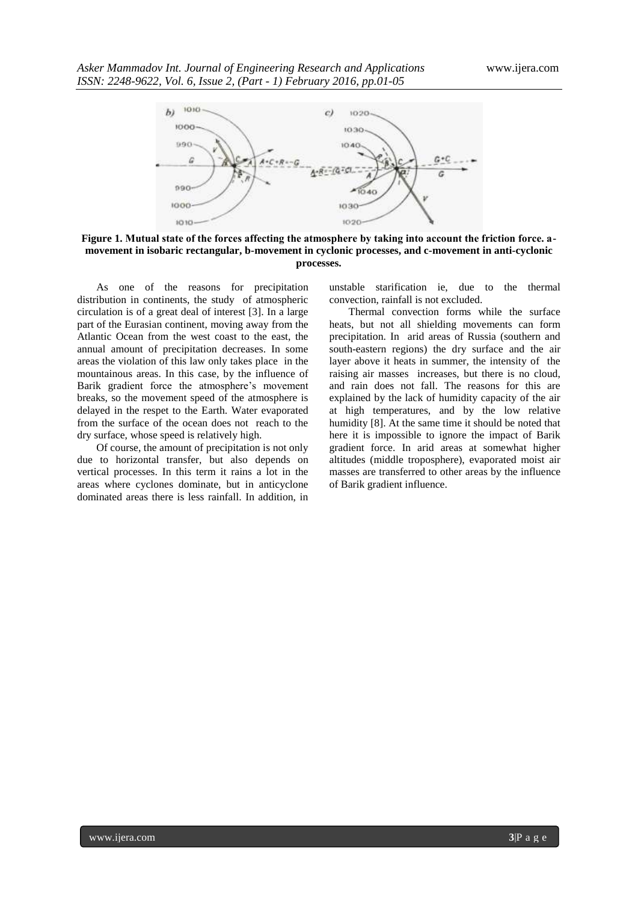

**Figure 1. Mutual state of the forces affecting the atmosphere by taking into account the friction force. аmovement in isobaric rectangular, b-movement in cyclonic processes, and c-movement in anti-cyclonic processes.**

As one of the reasons for precipitation distribution in continents, the study of atmospheric circulation is of a great deal of interest [3]. In a large part of the Eurasian continent, moving away from the Atlantic Ocean from the west coast to the east, the annual amount of precipitation decreases. In some areas the violation of this law only takes place in the mountainous areas. In this case, by the influence of Barik gradient force the atmosphere's movement breaks, so the movement speed of the atmosphere is delayed in the respet to the Earth. Water evaporated from the surface of the ocean does not reach to the dry surface, whose speed is relatively high.

Of course, the amount of precipitation is not only due to horizontal transfer, but also depends on vertical processes. In this term it rains a lot in the areas where cyclones dominate, but in anticyclone dominated areas there is less rainfall. In addition, in

unstable starification ie, due to the thermal convection, rainfall is not excluded.

Thermal convection forms while the surface heats, but not all shielding movements can form precipitation. In arid areas of Russia (southern and south-eastern regions) the dry surface and the air layer above it heats in summer, the intensity of the raising air masses increases, but there is no cloud, and rain does not fall. The reasons for this are explained by the lack of humidity capacity of the air at high temperatures, and by the low relative humidity [8]. At the same time it should be noted that here it is impossible to ignore the impact of Barik gradient force. In arid areas at somewhat higher altitudes (middle troposphere), evaporated moist air masses are transferred to other areas by the influence of Barik gradient influence.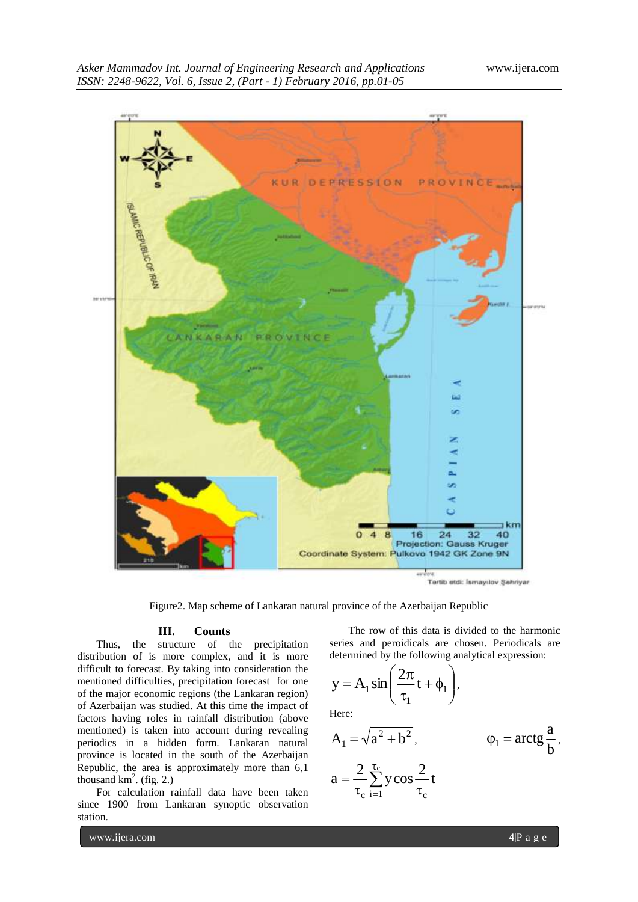

Figure2. Map scheme of Lankaran natural province of the Azerbaijan Republic

#### **III. Counts**

Thus, the structure of the precipitation distribution of is more complex, and it is more difficult to forecast. By taking into consideration the mentioned difficulties, precipitation forecast for one of the major economic regions (the Lankaran region) of Azerbaijan was studied. At this time the impact of factors having roles in rainfall distribution (above mentioned) is taken into account during revealing periodics in a hidden form. Lankaran natural province is located in the south of the Azerbaijan Republic, the area is approximately more than 6,1 thousand  $km^2$ . (fig. 2.)

For calculation rainfall data have been taken since 1900 from Lankaran synoptic observation station.

The row of this data is divided to the harmonic series and peroidicals are chosen. Periodicals are determined by the following analytical expression:

$$
y = A_1 \sin\left(\frac{2\pi}{\tau_1}t + \phi_1\right),
$$

Here:

$$
A_1 = \sqrt{a^2 + b^2}, \qquad \qquad \varphi_1 = \arctg \frac{a}{b},
$$
  

$$
a = \frac{2}{\tau_c} \sum_{i=1}^{\tau_c} y \cos \frac{2}{\tau_c} t
$$

www.ijera.com **4**<sup>p</sup> a g e